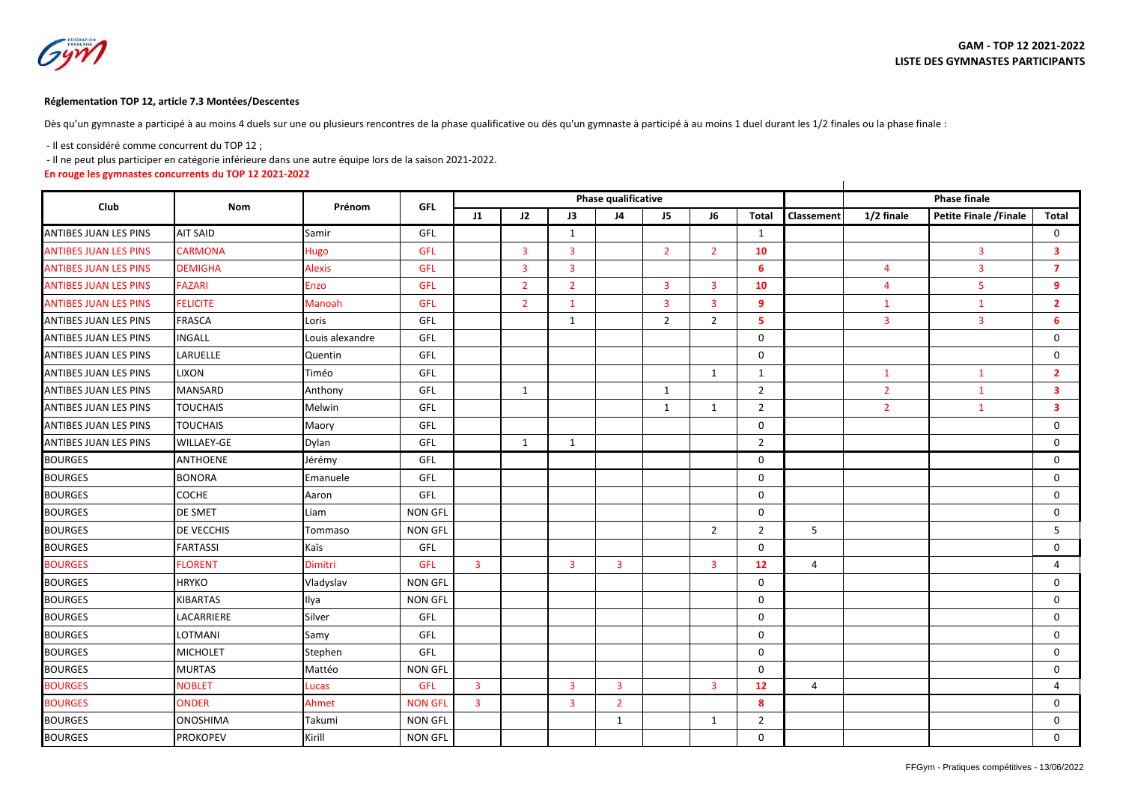## **Réglementation TOP 12, article 7.3 Montées/Descentes**

Dès qu'un gymnaste a participé à au moins 4 duels sur une ou plusieurs rencontres de la phase qualificative ou dès qu'un gymnaste à participé à au moins 1 duel durant les 1/2 finales ou la phase finale :

- Il est considéré comme concurrent du TOP 12 ;

- Il ne peut plus participer en catégorie inférieure dans une autre équipe lors de la saison 2021-2022.

**En rouge les gymnastes concurrents du TOP 12 2021-2022**

|                              |                   |                 |                |                |                |                | Phase qualificative | <b>Phase finale</b> |                |                |                   |                |                        |                         |
|------------------------------|-------------------|-----------------|----------------|----------------|----------------|----------------|---------------------|---------------------|----------------|----------------|-------------------|----------------|------------------------|-------------------------|
| Club                         | <b>Nom</b>        | Prénom          | <b>GFL</b>     | $_{11}$        | 12             | J3             | J <sub>4</sub>      | J5                  | - 16           | <b>Total</b>   | <b>Classement</b> | 1/2 finale     | Petite Finale / Finale | <b>Total</b>            |
| <b>ANTIBES JUAN LES PINS</b> | <b>AIT SAID</b>   | Samir           | GFL            |                |                | $\mathbf{1}$   |                     |                     |                | 1              |                   |                |                        | $\mathbf 0$             |
| <b>ANTIBES JUAN LES PINS</b> | <b>CARMONA</b>    | <b>Hugo</b>     | <b>GFL</b>     |                | $\overline{3}$ | $\overline{3}$ |                     | $\overline{2}$      | $\overline{2}$ | 10             |                   |                | $\overline{3}$         | $\overline{\mathbf{3}}$ |
| <b>ANTIBES JUAN LES PINS</b> | <b>DEMIGHA</b>    | <b>Alexis</b>   | <b>GFL</b>     |                | $\overline{3}$ | $\overline{3}$ |                     |                     |                | 6              |                   | $\overline{4}$ | 3                      | $\overline{7}$          |
| <b>ANTIBES JUAN LES PINS</b> | <b>FAZARI</b>     | <b>Enzo</b>     | <b>GFL</b>     |                | $\overline{2}$ | $\overline{2}$ |                     | 3                   | 3              | 10             |                   | $\overline{4}$ | 5                      | 9                       |
| <b>ANTIBES JUAN LES PINS</b> | <b>FELICITE</b>   | Manoah          | <b>GFL</b>     |                | $\overline{2}$ | $\mathbf{1}$   |                     | 3                   | 3              | 9              |                   | $\mathbf{1}$   | $\mathbf{1}$           | $\overline{2}$          |
| <b>ANTIBES JUAN LES PINS</b> | <b>FRASCA</b>     | Loris           | GFL            |                |                | $\mathbf{1}$   |                     | 2                   | $\overline{2}$ | 5              |                   | $\overline{3}$ | $\overline{3}$         | 6                       |
| <b>ANTIBES JUAN LES PINS</b> | <b>INGALL</b>     | Louis alexandre | GFL            |                |                |                |                     |                     |                | $\mathbf 0$    |                   |                |                        | 0                       |
| <b>ANTIBES JUAN LES PINS</b> | LARUELLE          | Quentin         | GFL            |                |                |                |                     |                     |                | $\mathbf 0$    |                   |                |                        | 0                       |
| <b>ANTIBES JUAN LES PINS</b> | <b>LIXON</b>      | Timéo           | GFL            |                |                |                |                     |                     | $\mathbf{1}$   | $\mathbf{1}$   |                   | $\mathbf{1}$   | $\mathbf{1}$           | $\overline{2}$          |
| <b>ANTIBES JUAN LES PINS</b> | <b>MANSARD</b>    | Anthony         | GFL            |                | 1              |                |                     | $\mathbf{1}$        |                | $\overline{2}$ |                   | $\overline{2}$ | $\mathbf{1}$           | $\overline{\mathbf{3}}$ |
| <b>ANTIBES JUAN LES PINS</b> | <b>TOUCHAIS</b>   | Melwin          | GFL            |                |                |                |                     | 1                   | 1              | $\overline{2}$ |                   | $\overline{2}$ | $\mathbf{1}$           | 3                       |
| <b>ANTIBES JUAN LES PINS</b> | <b>TOUCHAIS</b>   | Maory           | GFL            |                |                |                |                     |                     |                | $\Omega$       |                   |                |                        | $\Omega$                |
| <b>ANTIBES JUAN LES PINS</b> | <b>WILLAEY-GE</b> | Dylan           | GFL            |                | 1              | $\mathbf{1}$   |                     |                     |                | $\overline{2}$ |                   |                |                        | 0                       |
| <b>BOURGES</b>               | <b>ANTHOENE</b>   | Jérémy          | GFL            |                |                |                |                     |                     |                | $\Omega$       |                   |                |                        | $\mathbf 0$             |
| <b>BOURGES</b>               | <b>BONORA</b>     | Emanuele        | GFL            |                |                |                |                     |                     |                | $\mathbf 0$    |                   |                |                        | 0                       |
| <b>BOURGES</b>               | <b>COCHE</b>      | Aaron           | GFL            |                |                |                |                     |                     |                | $\mathbf 0$    |                   |                |                        | 0                       |
| <b>BOURGES</b>               | DE SMET           | Liam            | <b>NON GFL</b> |                |                |                |                     |                     |                | 0              |                   |                |                        | $\mathbf 0$             |
| <b>BOURGES</b>               | DE VECCHIS        | Tommaso         | <b>NON GFL</b> |                |                |                |                     |                     | $\overline{2}$ | $\overline{2}$ | 5                 |                |                        | 5                       |
| <b>BOURGES</b>               | <b>FARTASSI</b>   | Kaïs            | GFL            |                |                |                |                     |                     |                | $\mathbf 0$    |                   |                |                        | 0                       |
| <b>BOURGES</b>               | <b>FLORENT</b>    | <b>Dimitri</b>  | <b>GFL</b>     | $\overline{3}$ |                | $\mathbf{3}$   | $\overline{3}$      |                     | $\overline{3}$ | 12             | $\overline{4}$    |                |                        | $\overline{4}$          |
| <b>BOURGES</b>               | <b>HRYKO</b>      | Vladyslav       | <b>NON GFL</b> |                |                |                |                     |                     |                | $\Omega$       |                   |                |                        | $\mathbf 0$             |
| <b>BOURGES</b>               | <b>KIBARTAS</b>   | Ilya            | <b>NON GFL</b> |                |                |                |                     |                     |                | $\mathbf 0$    |                   |                |                        | 0                       |
| <b>BOURGES</b>               | LACARRIERE        | Silver          | GFL            |                |                |                |                     |                     |                | 0              |                   |                |                        | 0                       |
| <b>BOURGES</b>               | LOTMANI           | Samy            | GFL            |                |                |                |                     |                     |                | $\Omega$       |                   |                |                        | $\mathbf 0$             |
| <b>BOURGES</b>               | <b>MICHOLET</b>   | Stephen         | GFL            |                |                |                |                     |                     |                | $\mathbf 0$    |                   |                |                        | 0                       |
| <b>BOURGES</b>               | <b>MURTAS</b>     | Mattéo          | <b>NON GFL</b> |                |                |                |                     |                     |                | $\mathbf 0$    |                   |                |                        | 0                       |
| <b>BOURGES</b>               | <b>NOBLET</b>     | Lucas           | <b>GFL</b>     | 3              |                | $\overline{3}$ | $\overline{3}$      |                     | $\overline{3}$ | 12             | $\overline{4}$    |                |                        | $\overline{4}$          |
| <b>BOURGES</b>               | <b>ONDER</b>      | <b>Ahmet</b>    | <b>NON GFL</b> | $\overline{3}$ |                | $\overline{3}$ | $\overline{2}$      |                     |                | 8              |                   |                |                        | $\mathbf 0$             |
| <b>BOURGES</b>               | <b>ONOSHIMA</b>   | Takumi          | <b>NON GFL</b> |                |                |                | 1                   |                     | 1              | $\overline{2}$ |                   |                |                        | 0                       |
| <b>BOURGES</b>               | <b>PROKOPEV</b>   | Kirill          | <b>NON GFL</b> |                |                |                |                     |                     |                | $\Omega$       |                   |                |                        | 0                       |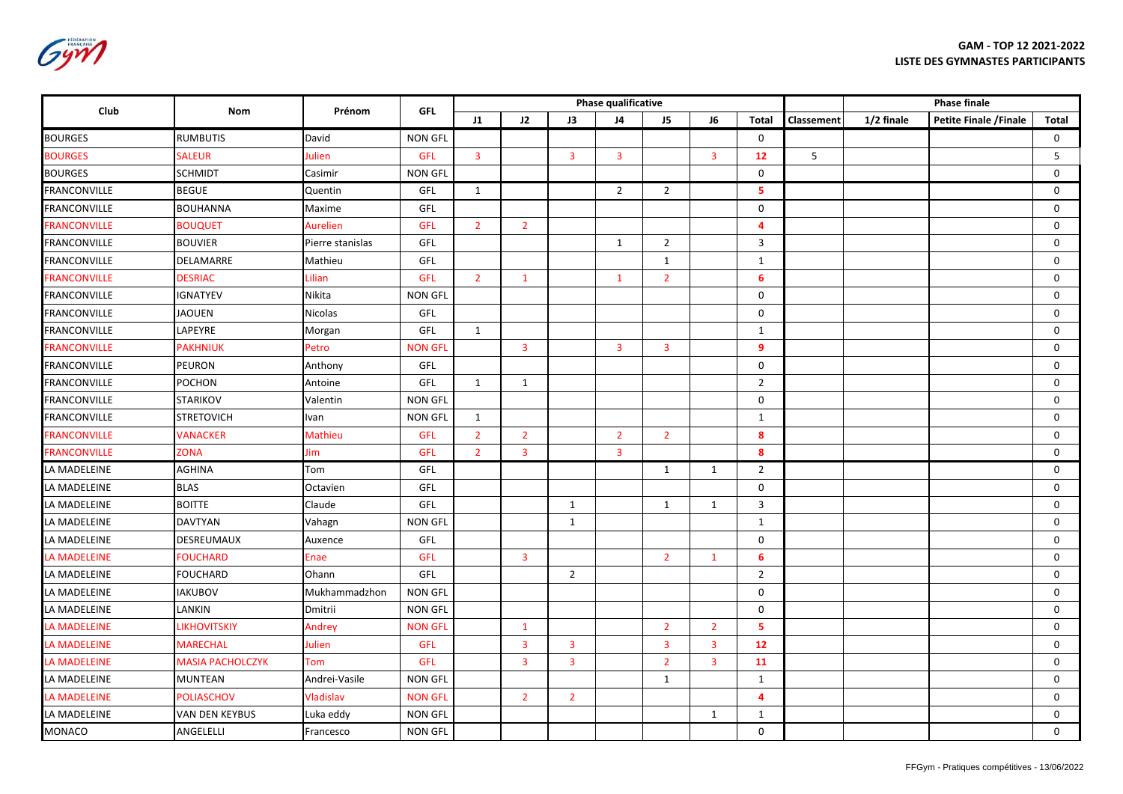**GAM - TOP 12 2021-2022 LISTE DES GYMNASTES PARTICIPANTS**

| FÉDÉRATION<br><b>FRANCAISE</b> |
|--------------------------------|
|                                |
|                                |

| Club                | Nom                     | Prénom           | <b>GFL</b>     |                |                         |                         | Phase qualificative |                |                |                | <b>Phase finale</b> |            |                        |              |
|---------------------|-------------------------|------------------|----------------|----------------|-------------------------|-------------------------|---------------------|----------------|----------------|----------------|---------------------|------------|------------------------|--------------|
|                     |                         |                  |                | 11             | J2                      | J3                      | J4                  | J5             | J6             | <b>Total</b>   | Classement          | 1/2 finale | Petite Finale / Finale | <b>Total</b> |
| <b>BOURGES</b>      | <b>RUMBUTIS</b>         | David            | <b>NON GFL</b> |                |                         |                         |                     |                |                | $\mathbf 0$    |                     |            |                        | $\mathsf{O}$ |
| <b>BOURGES</b>      | <b>SALEUR</b>           | Julien           | <b>GFL</b>     | $\overline{3}$ |                         | $\overline{3}$          | $\overline{3}$      |                | $\overline{3}$ | 12             | 5                   |            |                        | 5            |
| <b>BOURGES</b>      | <b>SCHMIDT</b>          | Casimir          | <b>NON GFL</b> |                |                         |                         |                     |                |                | $\Omega$       |                     |            |                        | $\mathbf 0$  |
| <b>FRANCONVILLE</b> | <b>BEGUE</b>            | Quentin          | GFL            | 1              |                         |                         | $\overline{2}$      | $\overline{2}$ |                | 5              |                     |            |                        | 0            |
| <b>FRANCONVILLE</b> | <b>BOUHANNA</b>         | Maxime           | GFL            |                |                         |                         |                     |                |                | $\mathsf 0$    |                     |            |                        | $\mathsf{O}$ |
| <b>FRANCONVILLE</b> | <b>BOUQUET</b>          | <b>Aurelien</b>  | <b>GFL</b>     | $\overline{2}$ | $\overline{2}$          |                         |                     |                |                | $\overline{4}$ |                     |            |                        | $\mathsf{O}$ |
| <b>FRANCONVILLE</b> | <b>BOUVIER</b>          | Pierre stanislas | GFL            |                |                         |                         | $\mathbf{1}$        | $\overline{2}$ |                | 3              |                     |            |                        | 0            |
| <b>FRANCONVILLE</b> | DELAMARRE               | Mathieu          | GFL            |                |                         |                         |                     | $\mathbf{1}$   |                | $\mathbf{1}$   |                     |            |                        | $\mathsf{O}$ |
| <b>FRANCONVILLE</b> | <b>DESRIAC</b>          | Lilian           | <b>GFL</b>     | $\overline{2}$ | $\mathbf{1}$            |                         | $\mathbf{1}$        | $\overline{2}$ |                | 6              |                     |            |                        | $\mathbf 0$  |
| <b>FRANCONVILLE</b> | <b>IGNATYEV</b>         | Nikita           | <b>NON GFL</b> |                |                         |                         |                     |                |                | 0              |                     |            |                        | 0            |
| <b>FRANCONVILLE</b> | <b>JAOUEN</b>           | Nicolas          | GFL            |                |                         |                         |                     |                |                | $\mathbf 0$    |                     |            |                        | $\mathbf 0$  |
| <b>FRANCONVILLE</b> | LAPEYRE                 | Morgan           | GFL            | $\mathbf{1}$   |                         |                         |                     |                |                | $\mathbf{1}$   |                     |            |                        | $\mathbf 0$  |
| <b>FRANCONVILLE</b> | <b>PAKHNIUK</b>         | Petro            | <b>NON GFI</b> |                | $\overline{\mathbf{3}}$ |                         | $\overline{3}$      | $\overline{3}$ |                | $\overline{9}$ |                     |            |                        | 0            |
| <b>FRANCONVILLE</b> | <b>PEURON</b>           | Anthony          | GFL            |                |                         |                         |                     |                |                | $\mathbf 0$    |                     |            |                        | $\mathbf 0$  |
| <b>FRANCONVILLE</b> | <b>POCHON</b>           | Antoine          | GFL            | 1              | $\mathbf{1}$            |                         |                     |                |                | $\overline{2}$ |                     |            |                        | 0            |
| <b>FRANCONVILLE</b> | <b>STARIKOV</b>         | Valentin         | <b>NON GFL</b> |                |                         |                         |                     |                |                | 0              |                     |            |                        | 0            |
| <b>FRANCONVILLE</b> | <b>STRETOVICH</b>       | Ivan             | <b>NON GFL</b> | $\mathbf{1}$   |                         |                         |                     |                |                | $\mathbf{1}$   |                     |            |                        | $\mathbf 0$  |
| <b>FRANCONVILLE</b> | <b>VANACKER</b>         | Mathieu          | <b>GFL</b>     | $\overline{2}$ | $\overline{2}$          |                         | $\overline{2}$      | $\overline{2}$ |                | 8              |                     |            |                        | $\mathbf 0$  |
| <b>FRANCONVILLE</b> | <b>ZONA</b>             | Jim              | <b>GFL</b>     | $\overline{2}$ | 3                       |                         | $\overline{3}$      |                |                | 8              |                     |            |                        | $\mathbf 0$  |
| LA MADELEINE        | <b>AGHINA</b>           | Tom              | GFL            |                |                         |                         |                     | $\mathbf{1}$   | $\mathbf{1}$   | $\overline{2}$ |                     |            |                        | $\mathbf 0$  |
| LA MADELEINE        | <b>BLAS</b>             | Octavien         | GFL            |                |                         |                         |                     |                |                | $\mathbf 0$    |                     |            |                        | $\mathbf 0$  |
| LA MADELEINE        | <b>BOITTE</b>           | Claude           | GFL            |                |                         | $\mathbf{1}$            |                     | $\mathbf{1}$   | $\mathbf{1}$   | $\overline{3}$ |                     |            |                        | $\mathsf{O}$ |
| LA MADELEINE        | <b>DAVTYAN</b>          | Vahagn           | <b>NON GFL</b> |                |                         | $\mathbf{1}$            |                     |                |                | $\mathbf{1}$   |                     |            |                        | $\mathbf 0$  |
| LA MADELEINE        | <b>DESREUMAUX</b>       | Auxence          | GFL            |                |                         |                         |                     |                |                | $\mathbf 0$    |                     |            |                        | 0            |
| LA MADELEINE        | <b>FOUCHARD</b>         | Enae             | <b>GFL</b>     |                | $\overline{\mathbf{3}}$ |                         |                     | $\overline{2}$ | $\mathbf{1}$   | -6             |                     |            |                        | 0            |
| LA MADELEINE        | <b>FOUCHARD</b>         | Ohann            | GFL            |                |                         | $\overline{2}$          |                     |                |                | $\overline{2}$ |                     |            |                        | $\mathbf 0$  |
| LA MADELEINE        | <b>IAKUBOV</b>          | Mukhammadzhon    | <b>NON GFL</b> |                |                         |                         |                     |                |                | $\mathbf 0$    |                     |            |                        | $\mathbf 0$  |
| LA MADELEINE        | LANKIN                  | Dmitrii          | <b>NON GFL</b> |                |                         |                         |                     |                |                | $\mathsf 0$    |                     |            |                        | $\mathbf 0$  |
| <b>LA MADELEINE</b> | <b>LIKHOVITSKIY</b>     | Andrey           | <b>NON GFI</b> |                | $\mathbf{1}$            |                         |                     | $\overline{2}$ | 2 <sup>1</sup> | 5              |                     |            |                        | $\mathbf 0$  |
| <b>LA MADELEINE</b> | <b>MARECHAL</b>         | Julien           | <b>GFL</b>     |                | $\overline{3}$          | $\overline{3}$          |                     | $\overline{3}$ | $\overline{3}$ | 12             |                     |            |                        | $\mathbf 0$  |
| <b>LA MADELEINE</b> | <b>MASIA PACHOLCZYK</b> | Tom              | GFL            |                | $\overline{3}$          | $\overline{\mathbf{3}}$ |                     | $\overline{2}$ | $\overline{3}$ | 11             |                     |            |                        | 0            |
| LA MADELEINE        | <b>MUNTEAN</b>          | Andrei-Vasile    | <b>NON GFL</b> |                |                         |                         |                     | $\mathbf{1}$   |                | 1              |                     |            |                        | $\mathbf 0$  |
| <b>LA MADELEINE</b> | <b>POLIASCHOV</b>       | Vladislav        | <b>NON GFL</b> |                | $2^{\circ}$             | $\overline{2}$          |                     |                |                | $\overline{4}$ |                     |            |                        | $\mathbf 0$  |
| LA MADELEINE        | <b>VAN DEN KEYBUS</b>   | Luka eddy        | <b>NON GFL</b> |                |                         |                         |                     |                | $\mathbf{1}$   | $\mathbf{1}$   |                     |            |                        | 0            |
| <b>MONACO</b>       | ANGELELLI               | Francesco        | <b>NON GFL</b> |                |                         |                         |                     |                |                | $\mathbf 0$    |                     |            |                        | $\Omega$     |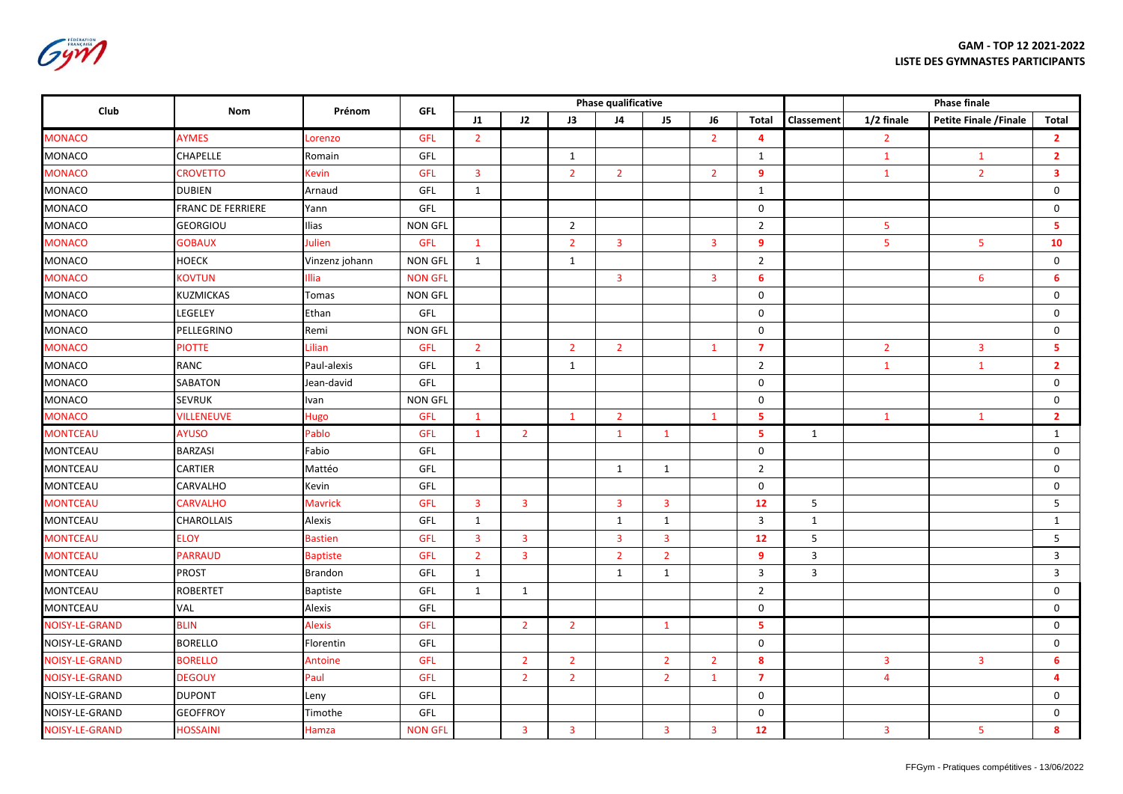**GAM - TOP 12 2021-2022 LISTE DES GYMNASTES PARTICIPANTS**

Gym

| Club                  | Nom                      | Prénom          | <b>GFL</b>     |                         |                         |                         | Phase qualificative     |                |                         |                | <b>Phase finale</b> |                         |                         |                         |
|-----------------------|--------------------------|-----------------|----------------|-------------------------|-------------------------|-------------------------|-------------------------|----------------|-------------------------|----------------|---------------------|-------------------------|-------------------------|-------------------------|
|                       |                          |                 |                | J1                      | J2                      | J3                      | J4                      | J5             | J <sub>6</sub>          | Total          | Classement          | 1/2 finale              | Petite Finale / Finale  | Total                   |
| <b>MONACO</b>         | <b>AYMES</b>             | Lorenzo         | <b>GFL</b>     | $\overline{2}$          |                         |                         |                         |                | $\overline{2}$          | $\overline{4}$ |                     | $\overline{2}$          |                         | $\overline{2}$          |
| <b>MONACO</b>         | CHAPELLE                 | Romain          | GFL            |                         |                         | 1                       |                         |                |                         | 1              |                     | $\mathbf{1}$            | $\mathbf{1}$            | 2 <sup>1</sup>          |
| <b>MONACO</b>         | <b>CROVETTO</b>          | <b>Kevin</b>    | <b>GFL</b>     | $\overline{\mathbf{3}}$ |                         | $\overline{2}$          | $\overline{2}$          |                | $\overline{2}$          | 9              |                     | $\mathbf{1}$            | $\overline{2}$          | $\overline{\mathbf{3}}$ |
| <b>MONACO</b>         | <b>DUBIEN</b>            | Arnaud          | GFL            | 1                       |                         |                         |                         |                |                         | 1              |                     |                         |                         | 0                       |
| MONACO                | <b>FRANC DE FERRIERE</b> | Yann            | GFL            |                         |                         |                         |                         |                |                         | $\mathbf 0$    |                     |                         |                         | $\mathbf 0$             |
| MONACO                | <b>GEORGIOU</b>          | Ilias           | <b>NON GFL</b> |                         |                         | $\overline{2}$          |                         |                |                         | $\overline{2}$ |                     | $\overline{\mathbf{5}}$ |                         | -5                      |
| <b>MONACO</b>         | <b>GOBAUX</b>            | Julien          | <b>GFL</b>     | $\mathbf{1}$            |                         | $\overline{2}$          | $\overline{3}$          |                | $\overline{\mathbf{3}}$ | 9              |                     | 5                       | 5                       | 10                      |
| MONACO                | <b>HOECK</b>             | Vinzenz johann  | <b>NON GFL</b> | $\mathbf{1}$            |                         | $\mathbf{1}$            |                         |                |                         | $\overline{2}$ |                     |                         |                         | $\mathsf{O}$            |
| <b>MONACO</b>         | <b>KOVTUN</b>            | Illia           | <b>NON GFL</b> |                         |                         |                         | $\overline{\mathbf{3}}$ |                | $\overline{\mathbf{3}}$ | 6              |                     |                         | 6                       | 6                       |
| MONACO                | <b>KUZMICKAS</b>         | Tomas           | <b>NON GFL</b> |                         |                         |                         |                         |                |                         | $\mathbf 0$    |                     |                         |                         | 0                       |
| MONACO                | LEGELEY                  | Ethan           | GFL            |                         |                         |                         |                         |                |                         | $\mathbf 0$    |                     |                         |                         | 0                       |
| MONACO                | PELLEGRINO               | Remi            | <b>NON GFL</b> |                         |                         |                         |                         |                |                         | $\mathbf 0$    |                     |                         |                         | $\mathsf{O}$            |
| <b>MONACO</b>         | <b>PIOTTE</b>            | Lilian          | <b>GFL</b>     | $\overline{2}$          |                         | $\overline{2}$          | $\overline{2}$          |                | $\mathbf{1}$            | $\overline{7}$ |                     | $\overline{2}$          | $\overline{\mathbf{3}}$ | 5                       |
| <b>MONACO</b>         | RANC                     | Paul-alexis     | GFL            | $\mathbf{1}$            |                         | $\mathbf{1}$            |                         |                |                         | $\overline{2}$ |                     | $\mathbf{1}$            | $\mathbf{1}$            | $\overline{2}$          |
| MONACO                | <b>SABATON</b>           | Jean-david      | GFL            |                         |                         |                         |                         |                |                         | $\mathbf 0$    |                     |                         |                         | 0                       |
| <b>MONACO</b>         | <b>SEVRUK</b>            | Ivan            | <b>NON GFL</b> |                         |                         |                         |                         |                |                         | $\mathbf 0$    |                     |                         |                         | $\mathbf 0$             |
| <b>MONACO</b>         | <b>VILLENEUVE</b>        | <b>Hugo</b>     | GFL            | $\mathbf{1}$            |                         | $\mathbf{1}$            | $\overline{2}$          |                | $\mathbf{1}$            | 5              |                     | $\mathbf{1}$            | $\mathbf{1}$            | $\overline{2}$          |
| <b>MONTCEAU</b>       | <b>AYUSO</b>             | Pablo           | <b>GFL</b>     | $\mathbf{1}$            | $\overline{2}$          |                         | $\mathbf{1}$            | $\mathbf{1}$   |                         | 5              | $\mathbf{1}$        |                         |                         | $\mathbf{1}$            |
| <b>MONTCEAU</b>       | <b>BARZASI</b>           | Fabio           | GFL            |                         |                         |                         |                         |                |                         | $\mathbf 0$    |                     |                         |                         | $\mathbf 0$             |
| <b>MONTCEAU</b>       | CARTIER                  | Mattéo          | GFL            |                         |                         |                         | 1                       | $\mathbf{1}$   |                         | $\overline{2}$ |                     |                         |                         | $\mathbf 0$             |
| <b>MONTCEAU</b>       | CARVALHO                 | Kevin           | GFL            |                         |                         |                         |                         |                |                         | $\mathbf 0$    |                     |                         |                         | $\mathbf 0$             |
| <b>MONTCEAU</b>       | <b>CARVALHO</b>          | <b>Mavrick</b>  | <b>GFL</b>     | 3                       | $\overline{3}$          |                         | 3                       | $\overline{3}$ |                         | 12             | 5                   |                         |                         | 5                       |
| <b>MONTCEAU</b>       | <b>CHAROLLAIS</b>        | Alexis          | GFL            | $\mathbf{1}$            |                         |                         | $\mathbf{1}$            | $\mathbf{1}$   |                         | 3              | $\mathbf{1}$        |                         |                         | 1                       |
| <b>MONTCEAU</b>       | <b>ELOY</b>              | <b>Bastien</b>  | <b>GFL</b>     | 3                       | $\overline{\mathbf{3}}$ |                         | $\overline{3}$          | $\overline{3}$ |                         | 12             | 5                   |                         |                         | 5                       |
| <b>MONTCEAU</b>       | <b>PARRAUD</b>           | <b>Baptiste</b> | <b>GFL</b>     | $\overline{2}$          | $\overline{3}$          |                         | $\overline{2}$          | $\overline{2}$ |                         | 9              | $\overline{3}$      |                         |                         | $\overline{3}$          |
| <b>MONTCEAU</b>       | <b>PROST</b>             | <b>Brandon</b>  | GFL            | $\mathbf{1}$            |                         |                         | $\mathbf{1}$            | $\mathbf{1}$   |                         | 3              | $\overline{3}$      |                         |                         | $\overline{3}$          |
| <b>MONTCEAU</b>       | <b>ROBERTET</b>          | <b>Baptiste</b> | GFL            | $\mathbf{1}$            | 1                       |                         |                         |                |                         | $\overline{2}$ |                     |                         |                         | 0                       |
| MONTCEAU              | <b>VAL</b>               | Alexis          | GFL            |                         |                         |                         |                         |                |                         | $\mathbf 0$    |                     |                         |                         | 0                       |
| <b>NOISY-LE-GRAND</b> | <b>BLIN</b>              | <b>Alexis</b>   | <b>GFL</b>     |                         | $\overline{2}$          | $\overline{2}$          |                         | $\mathbf{1}$   |                         | 5              |                     |                         |                         | 0                       |
| NOISY-LE-GRAND        | <b>BORELLO</b>           | Florentin       | GFL            |                         |                         |                         |                         |                |                         | $\mathbf 0$    |                     |                         |                         | 0                       |
| <b>NOISY-LE-GRAND</b> | <b>BORELLO</b>           | Antoine         | <b>GFL</b>     |                         | $\overline{2}$          | $\overline{2}$          |                         | $\overline{2}$ | $\overline{2}$          | 8              |                     | $\overline{3}$          | $\overline{\mathbf{3}}$ | 6                       |
| <b>NOISY-LE-GRAND</b> | <b>DEGOUY</b>            | Paul            | <b>GFL</b>     |                         | $\overline{2}$          | $\overline{2}$          |                         | $\overline{2}$ | $\mathbf{1}$            | $\overline{7}$ |                     | $\overline{4}$          |                         | $\overline{4}$          |
| NOISY-LE-GRAND        | <b>DUPONT</b>            | Leny            | GFL            |                         |                         |                         |                         |                |                         | $\mathbf 0$    |                     |                         |                         | 0                       |
| NOISY-LE-GRAND        | <b>GEOFFROY</b>          | Timothe         | GFL            |                         |                         |                         |                         |                |                         | $\mathbf 0$    |                     |                         |                         | 0                       |
| <b>NOISY-LE-GRAND</b> | <b>HOSSAINI</b>          | Hamza           | <b>NON GFL</b> |                         | $\overline{3}$          | $\overline{\mathbf{3}}$ |                         | $\overline{3}$ | $\overline{3}$          | 12             |                     | $\overline{\mathbf{3}}$ | 5                       | 8                       |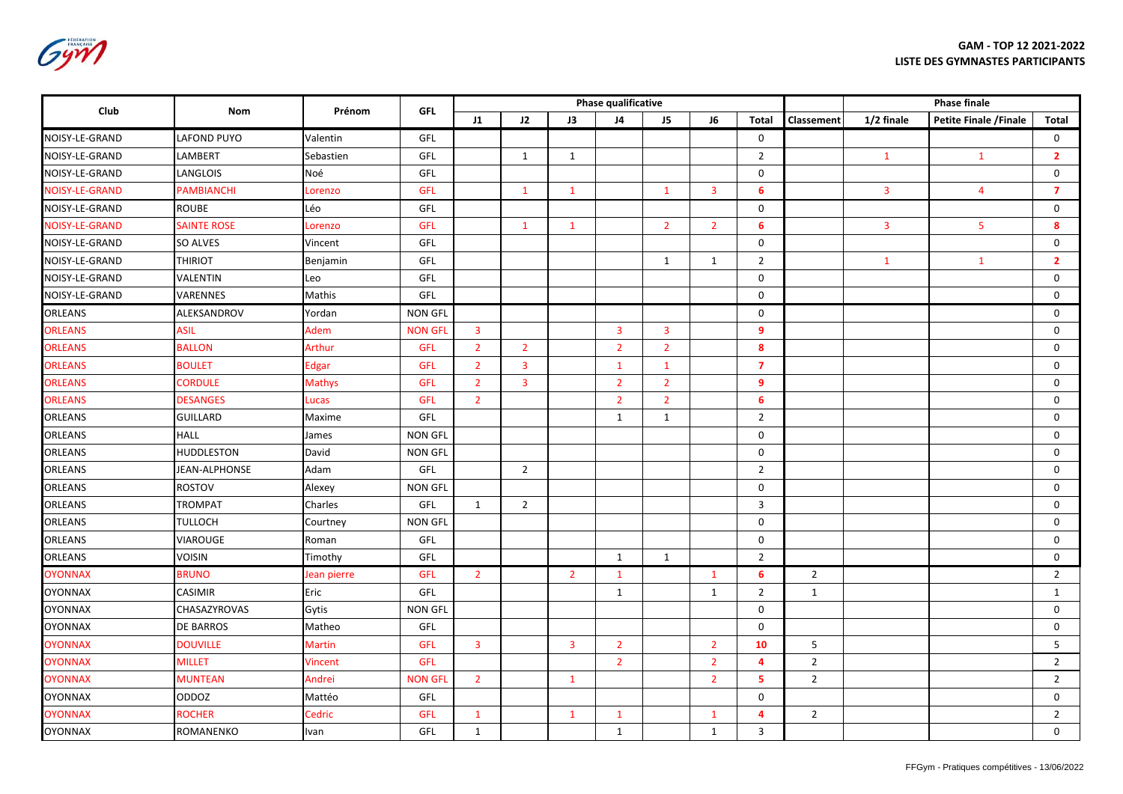Gym

| Club           | Nom                | Prénom         | <b>GFL</b>     |                         |                         |                         | <b>Phase qualificative</b> |                         | <b>Phase finale</b> |                         |                |                         |                         |                         |
|----------------|--------------------|----------------|----------------|-------------------------|-------------------------|-------------------------|----------------------------|-------------------------|---------------------|-------------------------|----------------|-------------------------|-------------------------|-------------------------|
|                |                    |                |                | 11                      | J2                      | J3                      | J4                         | J5                      | J6                  | <b>Total</b>            | Classement     | 1/2 finale              | Petite Finale / Finale  | Total                   |
| NOISY-LE-GRAND | <b>LAFOND PUYO</b> | Valentin       | GFL            |                         |                         |                         |                            |                         |                     | $\mathsf{O}$            |                |                         |                         | $\mathsf{O}$            |
| NOISY-LE-GRAND | LAMBERT            | Sebastien      | GFL            |                         | $\mathbf{1}$            | $\mathbf{1}$            |                            |                         |                     | $\overline{2}$          |                | $\mathbf{1}$            | $\mathbf{1}$            | $\overline{\mathbf{2}}$ |
| NOISY-LE-GRAND | LANGLOIS           | Noé            | GFL            |                         |                         |                         |                            |                         |                     | $\mathbf 0$             |                |                         |                         | $\mathbf 0$             |
| NOISY-LE-GRAND | PAMBIANCHI         | Lorenzo        | <b>GFL</b>     |                         | $\mathbf{1}$            | $\mathbf{1}$            |                            | $\mathbf{1}$            | $\overline{3}$      | 6                       |                | $\overline{3}$          | $\overline{4}$          | $\overline{7}$          |
| NOISY-LE-GRAND | ROUBE              | Léo            | GFL            |                         |                         |                         |                            |                         |                     | $\mathbf 0$             |                |                         |                         | $\mathsf 0$             |
| NOISY-LE-GRAND | <b>SAINTE ROSE</b> | Lorenzo        | <b>GFL</b>     |                         | $\mathbf{1}$            | $\mathbf{1}$            |                            | $\overline{2}$          | $\overline{2}$      | 6                       |                | $\overline{\mathbf{3}}$ | $\overline{\mathbf{5}}$ | 8                       |
| NOISY-LE-GRAND | SO ALVES           | Vincent        | GFL            |                         |                         |                         |                            |                         |                     | $\mathbf 0$             |                |                         |                         | $\mathbf 0$             |
| NOISY-LE-GRAND | <b>THIRIOT</b>     | Benjamin       | GFL            |                         |                         |                         |                            | $\mathbf{1}$            | $\mathbf{1}$        | $\overline{2}$          |                | $\mathbf{1}$            | $\mathbf{1}$            | $\overline{2}$          |
| NOISY-LE-GRAND | VALENTIN           | Leo            | GFL            |                         |                         |                         |                            |                         |                     | $\mathbf 0$             |                |                         |                         | $\mathsf{O}$            |
| NOISY-LE-GRAND | VARENNES           | Mathis         | GFL            |                         |                         |                         |                            |                         |                     | $\mathbf 0$             |                |                         |                         | 0                       |
| ORLEANS        | ALEKSANDROV        | Yordan         | <b>NON GFL</b> |                         |                         |                         |                            |                         |                     | 0                       |                |                         |                         | 0                       |
| <b>ORLEANS</b> | <b>ASIL</b>        | Adem           | <b>NON GFL</b> | $\overline{\mathbf{3}}$ |                         |                         | $\overline{\mathbf{3}}$    | $\overline{\mathbf{3}}$ |                     | 9                       |                |                         |                         | $\mathbf 0$             |
| <b>ORLEANS</b> | <b>BALLON</b>      | Arthur         | <b>GFL</b>     | $\overline{2}$          | $\overline{2}$          |                         | $\overline{2}$             | $\overline{2}$          |                     | 8                       |                |                         |                         | $\mathbf 0$             |
| <b>ORLEANS</b> | <b>BOULET</b>      | <b>Edgar</b>   | GFL            | $\overline{2}$          | $\overline{\mathbf{3}}$ |                         | $\mathbf{1}$               | $\mathbf{1}$            |                     | $\overline{7}$          |                |                         |                         | 0                       |
| <b>ORLEANS</b> | <b>CORDULE</b>     | <b>Mathys</b>  | GFL            | $\overline{2}$          | $\overline{\mathbf{3}}$ |                         | $\overline{2}$             | $\overline{2}$          |                     | $\overline{9}$          |                |                         |                         | $\mathsf 0$             |
| <b>ORLEANS</b> | <b>DESANGES</b>    | Lucas          | <b>GFL</b>     | $\overline{2}$          |                         |                         | $\overline{2}$             | $\overline{2}$          |                     | 6                       |                |                         |                         | $\mathsf{O}$            |
| ORLEANS        | <b>GUILLARD</b>    | Maxime         | GFL            |                         |                         |                         | $\mathbf{1}$               | $\mathbf{1}$            |                     | $\overline{2}$          |                |                         |                         | $\mathbf 0$             |
| ORLEANS        | <b>HALL</b>        | James          | <b>NON GFL</b> |                         |                         |                         |                            |                         |                     | $\mathbf 0$             |                |                         |                         | $\mathsf 0$             |
| ORLEANS        | <b>HUDDLESTON</b>  | David          | <b>NON GFL</b> |                         |                         |                         |                            |                         |                     | $\mathbf 0$             |                |                         |                         | $\mathsf{O}$            |
| ORLEANS        | JEAN-ALPHONSE      | Adam           | GFL            |                         | $\overline{2}$          |                         |                            |                         |                     | $\overline{2}$          |                |                         |                         | $\mathbf 0$             |
| ORLEANS        | <b>ROSTOV</b>      | Alexey         | <b>NON GFL</b> |                         |                         |                         |                            |                         |                     | $\mathbf 0$             |                |                         |                         | 0                       |
| ORLEANS        | <b>TROMPAT</b>     | Charles        | GFL            | $\mathbf{1}$            | $\overline{2}$          |                         |                            |                         |                     | 3                       |                |                         |                         | $\mathsf{O}$            |
| ORLEANS        | <b>TULLOCH</b>     | Courtney       | <b>NON GFL</b> |                         |                         |                         |                            |                         |                     | $\mathbf 0$             |                |                         |                         | $\mathbf 0$             |
| ORLEANS        | <b>VIAROUGE</b>    | Roman          | GFL            |                         |                         |                         |                            |                         |                     | $\mathbf 0$             |                |                         |                         | $\mathsf 0$             |
| ORLEANS        | <b>VOISIN</b>      | Timothy        | GFL            |                         |                         |                         | $\mathbf{1}$               | $\mathbf{1}$            |                     | $\overline{2}$          |                |                         |                         | $\mathbf 0$             |
| <b>OYONNAX</b> | <b>BRUNO</b>       | Jean pierre    | <b>GFL</b>     | $\overline{2}$          |                         | $\overline{2}$          | $\mathbf{1}$               |                         | $\mathbf{1}$        | 6                       | $\overline{2}$ |                         |                         | $\overline{2}$          |
| <b>OYONNAX</b> | <b>CASIMIR</b>     | Eric           | GFL            |                         |                         |                         | $\mathbf{1}$               |                         | $\mathbf{1}$        | $\overline{2}$          | 1              |                         |                         | $\mathbf{1}$            |
| <b>OYONNAX</b> | CHASAZYROVAS       | Gytis          | <b>NON GFL</b> |                         |                         |                         |                            |                         |                     | $\mathbf 0$             |                |                         |                         | $\mathsf{O}$            |
| <b>OYONNAX</b> | <b>DE BARROS</b>   | Matheo         | GFL            |                         |                         |                         |                            |                         |                     | $\mathbf 0$             |                |                         |                         | 0                       |
| <b>OYONNAX</b> | <b>DOUVILLE</b>    | <b>Martin</b>  | <b>GFL</b>     | 3                       |                         | $\overline{\mathbf{3}}$ | $\overline{2}$             |                         | $\overline{2}$      | 10                      | 5              |                         |                         | 5                       |
| <b>OYONNAX</b> | <b>MILLET</b>      | <b>Vincent</b> | <b>GFL</b>     |                         |                         |                         | $\overline{2}$             |                         | $\overline{2}$      | $\overline{\mathbf{4}}$ | $\overline{2}$ |                         |                         | $\overline{2}$          |
| <b>OYONNAX</b> | <b>MUNTEAN</b>     | Andrei         | <b>NON GFL</b> | $\overline{2}$          |                         | $\mathbf{1}$            |                            |                         | $\overline{2}$      | 5                       | $\overline{2}$ |                         |                         | $\overline{2}$          |
| <b>OYONNAX</b> | ODDOZ              | Mattéo         | GFL            |                         |                         |                         |                            |                         |                     | $\mathbf 0$             |                |                         |                         | 0                       |
| <b>OYONNAX</b> | <b>ROCHER</b>      | Cedric         | <b>GFL</b>     | $\mathbf{1}$            |                         | $\mathbf{1}$            | $\mathbf{1}$               |                         | $\mathbf{1}$        | $\overline{\mathbf{4}}$ | $\overline{2}$ |                         |                         | $\overline{2}$          |
| <b>OYONNAX</b> | ROMANENKO          | Ivan           | GFL            | $\mathbf{1}$            |                         |                         | $\mathbf{1}$               |                         | $\mathbf{1}$        | $\mathbf{3}$            |                |                         |                         | $\mathsf{O}$            |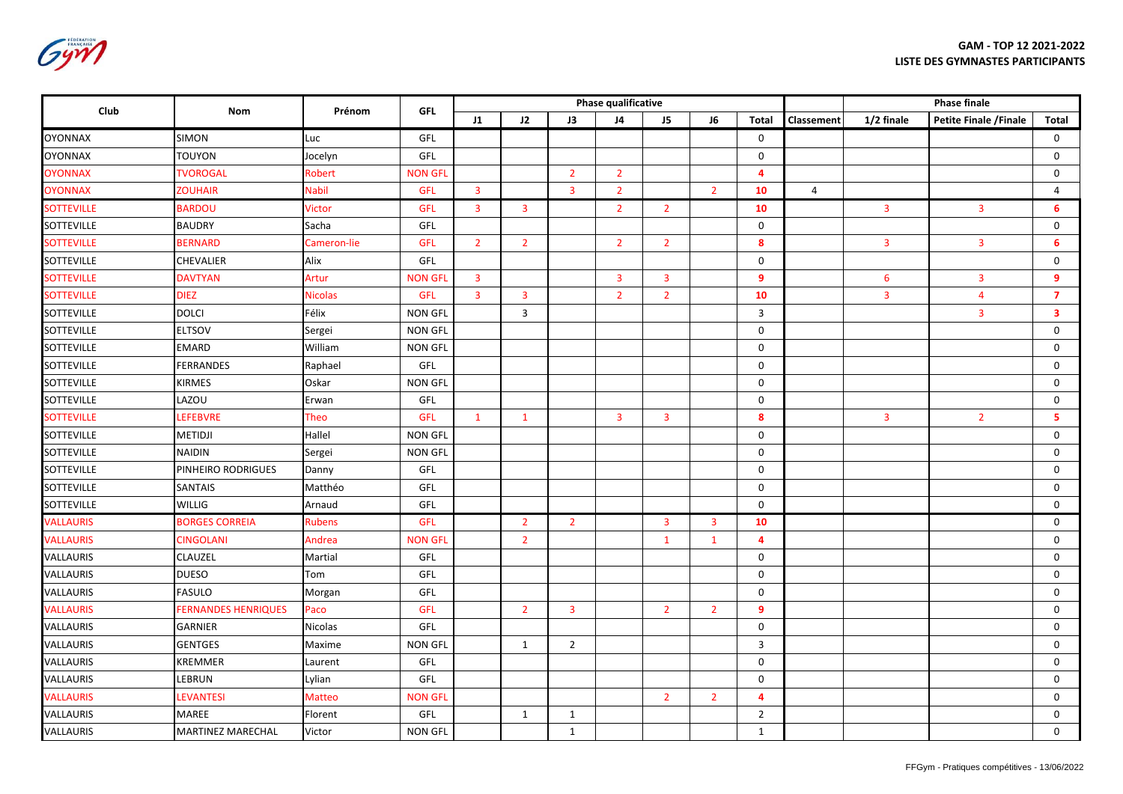**GAM - TOP 12 2021-2022 LISTE DES GYMNASTES PARTICIPANTS**

| FÉDÉRATION<br><b>FRANCAISE</b> |
|--------------------------------|
|                                |
|                                |
|                                |
|                                |

| Club              | Nom                        | Prénom         | <b>GFL</b>     |                         |                         |                         | <b>Phase qualificative</b> |                |                         |                |                |                         |                         |                         |
|-------------------|----------------------------|----------------|----------------|-------------------------|-------------------------|-------------------------|----------------------------|----------------|-------------------------|----------------|----------------|-------------------------|-------------------------|-------------------------|
|                   |                            |                |                | $_{11}$                 | J2                      | J3                      | J4                         | J <sub>5</sub> | J6                      | Total          | Classement     | 1/2 finale              | Petite Finale / Finale  | <b>Total</b>            |
| <b>OYONNAX</b>    | <b>SIMON</b>               | Luc            | GFL            |                         |                         |                         |                            |                |                         | $\mathbf 0$    |                |                         |                         | $\mathbf 0$             |
| <b>OYONNAX</b>    | TOUYON                     | Jocelyn        | GFL            |                         |                         |                         |                            |                |                         | 0              |                |                         |                         | 0                       |
| <b>OYONNAX</b>    | <b>TVOROGAL</b>            | Robert         | <b>NON GFL</b> |                         |                         | $\overline{2}$          | $\overline{2}$             |                |                         | $\overline{4}$ |                |                         |                         | $\mathbf 0$             |
| <b>OYONNAX</b>    | <b>ZOUHAIR</b>             | <b>Nabil</b>   | GFL            | $\overline{3}$          |                         | $\overline{\mathbf{3}}$ | $\overline{2}$             |                | $\overline{2}$          | 10             | $\overline{4}$ |                         |                         | 4                       |
| <b>SOTTEVILLE</b> | <b>BARDOU</b>              | <b>Victor</b>  | GFL            | $\overline{\mathbf{3}}$ | $\overline{\mathbf{3}}$ |                         | $\overline{2}$             | $2^{\circ}$    |                         | 10             |                | $\overline{3}$          | $\overline{\mathbf{3}}$ | 6                       |
| <b>SOTTEVILLE</b> | <b>BAUDRY</b>              | Sacha          | GFL            |                         |                         |                         |                            |                |                         | $\mathbf 0$    |                |                         |                         | 0                       |
| <b>SOTTEVILLE</b> | <b>BERNARD</b>             | Cameron-lie    | GFL            | $\overline{2}$          | $\overline{2}$          |                         | $\overline{2}$             | $\overline{2}$ |                         | 8              |                | $\overline{\mathbf{3}}$ | $\overline{\mathbf{3}}$ | 6                       |
| SOTTEVILLE        | CHEVALIER                  | Alix           | GFL            |                         |                         |                         |                            |                |                         | $\mathbf 0$    |                |                         |                         | $\mathbf 0$             |
| <b>SOTTEVILLE</b> | <b>DAVTYAN</b>             | Artur          | <b>NON GFL</b> | $\overline{\mathbf{3}}$ |                         |                         | 3                          | $\mathbf{3}$   |                         | 9              |                | $6\phantom{1}6$         | $\overline{3}$          | 9                       |
| <b>SOTTEVILLE</b> | <b>DIEZ</b>                | <b>Nicolas</b> | GFL            | $\overline{3}$          | $\overline{\mathbf{3}}$ |                         | $\overline{2}$             | $\overline{2}$ |                         | 10             |                | $\overline{\mathbf{3}}$ | $\overline{\mathbf{4}}$ | $\overline{7}$          |
| <b>SOTTEVILLE</b> | <b>DOLCI</b>               | Félix          | <b>NON GFL</b> |                         | 3                       |                         |                            |                |                         | 3              |                |                         | $\overline{\mathbf{3}}$ | $\overline{\mathbf{3}}$ |
| SOTTEVILLE        | <b>ELTSOV</b>              | Sergei         | <b>NON GFL</b> |                         |                         |                         |                            |                |                         | $\mathbf 0$    |                |                         |                         | 0                       |
| SOTTEVILLE        | <b>EMARD</b>               | William        | <b>NON GFL</b> |                         |                         |                         |                            |                |                         | $\mathbf 0$    |                |                         |                         | $\mathsf{O}$            |
| <b>SOTTEVILLE</b> | <b>FERRANDES</b>           | Raphael        | GFL            |                         |                         |                         |                            |                |                         | $\mathbf 0$    |                |                         |                         | $\mathbf 0$             |
| SOTTEVILLE        | <b>KIRMES</b>              | Oskar          | <b>NON GFL</b> |                         |                         |                         |                            |                |                         | $\mathbf 0$    |                |                         |                         | 0                       |
| SOTTEVILLE        | LAZOU                      | Erwan          | GFL            |                         |                         |                         |                            |                |                         | $\mathbf 0$    |                |                         |                         | $\mathsf{O}$            |
| <b>SOTTEVILLE</b> | <b>LEFEBVRE</b>            | <b>Theo</b>    | <b>GFL</b>     | $\mathbf{1}$            | $\mathbf{1}$            |                         | 3                          | $\mathbf{3}$   |                         | 8              |                | $\overline{3}$          | $\overline{2}$          | 5                       |
| <b>SOTTEVILLE</b> | <b>METIDJI</b>             | Hallel         | <b>NON GFL</b> |                         |                         |                         |                            |                |                         | $\mathbf 0$    |                |                         |                         | $\mathbf 0$             |
| SOTTEVILLE        | <b>NAIDIN</b>              | Sergei         | <b>NON GFL</b> |                         |                         |                         |                            |                |                         | $\mathbf 0$    |                |                         |                         | $\mathbf 0$             |
| <b>SOTTEVILLE</b> | PINHEIRO RODRIGUES         | Danny          | GFL            |                         |                         |                         |                            |                |                         | $\mathbf 0$    |                |                         |                         | $\mathbf 0$             |
| <b>SOTTEVILLE</b> | <b>SANTAIS</b>             | Matthéo        | GFL            |                         |                         |                         |                            |                |                         | $\mathbf 0$    |                |                         |                         | $\mathbf 0$             |
| <b>SOTTEVILLE</b> | <b>WILLIG</b>              | Arnaud         | GFL            |                         |                         |                         |                            |                |                         | $\mathbf 0$    |                |                         |                         | $\mathbf 0$             |
| <b>VALLAURIS</b>  | <b>BORGES CORREIA</b>      | <b>Rubens</b>  | GFL            |                         | $\overline{2}$          | $2^{\circ}$             |                            | $\mathbf{3}$   | $\overline{\mathbf{3}}$ | 10             |                |                         |                         | $\mathbf 0$             |
| <b>VALLAURIS</b>  | <b>CINGOLANI</b>           | Andrea         | <b>NON GFL</b> |                         | $2^{\circ}$             |                         |                            | $\mathbf{1}$   | $\mathbf{1}$            | $\overline{4}$ |                |                         |                         | $\mathsf{O}$            |
| <b>VALLAURIS</b>  | CLAUZEL                    | Martial        | GFL            |                         |                         |                         |                            |                |                         | $\mathbf 0$    |                |                         |                         | $\mathbf 0$             |
| <b>VALLAURIS</b>  | <b>DUESO</b>               | Tom            | GFL            |                         |                         |                         |                            |                |                         | $\mathbf 0$    |                |                         |                         | $\mathbf 0$             |
| VALLAURIS         | <b>FASULO</b>              | Morgan         | GFL            |                         |                         |                         |                            |                |                         | $\mathbf 0$    |                |                         |                         | $\mathsf{O}$            |
| <b>VALLAURIS</b>  | <b>FERNANDES HENRIQUES</b> | Paco           | GFL            |                         | $2^{\circ}$             | $\overline{3}$          |                            | $2^{\circ}$    | $\overline{2}$          | $\overline{9}$ |                |                         |                         | $\mathbf 0$             |
| VALLAURIS         | <b>GARNIER</b>             | Nicolas        | GFL            |                         |                         |                         |                            |                |                         | $\mathbf 0$    |                |                         |                         | $\mathbf 0$             |
| VALLAURIS         | <b>GENTGES</b>             | Maxime         | <b>NON GFL</b> |                         | 1                       | $\overline{2}$          |                            |                |                         | $\overline{3}$ |                |                         |                         | $\mathbf 0$             |
| VALLAURIS         | KREMMER                    | Laurent        | GFL            |                         |                         |                         |                            |                |                         | $\mathbf 0$    |                |                         |                         | $\mathbf 0$             |
| VALLAURIS         | LEBRUN                     | Lylian         | GFL            |                         |                         |                         |                            |                |                         | $\mathbf 0$    |                |                         |                         | $\mathsf{O}$            |
| <b>VALLAURIS</b>  | <b>LEVANTESI</b>           | <b>Matteo</b>  | <b>NON GFL</b> |                         |                         |                         |                            | $\overline{2}$ | $\overline{2}$          | $\overline{4}$ |                |                         |                         | $\mathbf 0$             |
| VALLAURIS         | MAREE                      | Florent        | GFL            |                         | 1                       | $\mathbf{1}$            |                            |                |                         | $\overline{2}$ |                |                         |                         | 0                       |
| VALLAURIS         | MARTINEZ MARECHAL          | Victor         | NON GFL        |                         |                         | $\mathbf{1}$            |                            |                |                         | $\mathbf{1}$   |                |                         |                         | 0                       |